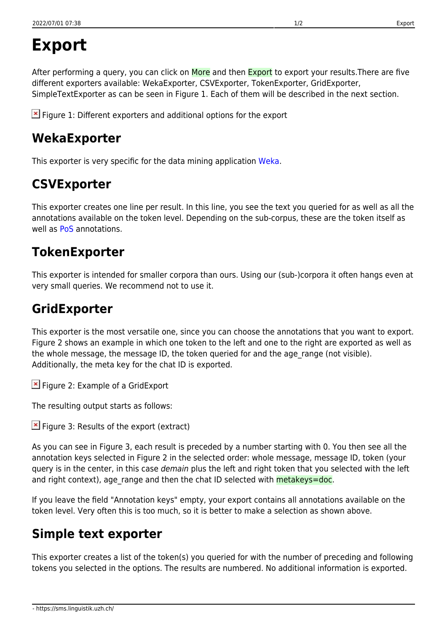# **Export**

After performing a query, you can click on More and then Export to export your results. There are five different exporters available: WekaExporter, CSVExporter, TokenExporter, GridExporter, SimpleTextExporter as can be seen in Figure 1. Each of them will be described in the next section.

 $\geq$  Figure 1: Different exporters and additional options for the export

#### **WekaExporter**

This exporter is very specific for the data mining application [Weka](https://www.cs.waikato.ac.nz/ml/weka/).

## **CSVExporter**

This exporter creates one line per result. In this line, you see the text you queried for as well as all the annotations available on the token level. Depending on the sub-corpus, these are the token itself as well as **[PoS](https://sms.linguistik.uzh.ch/01_corpus/02_preprocessing/06_pos)** annotations.

#### **TokenExporter**

This exporter is intended for smaller corpora than ours. Using our (sub-)corpora it often hangs even at very small queries. We recommend not to use it.

## **GridExporter**

This exporter is the most versatile one, since you can choose the annotations that you want to export. Figure 2 shows an example in which one token to the left and one to the right are exported as well as the whole message, the message ID, the token queried for and the age\_range (not visible). Additionally, the meta key for the chat ID is exported.

**E** Figure 2: Example of a GridExport

The resulting output starts as follows:

 $\mathbf{F}$  Figure 3: Results of the export (extract)

As you can see in Figure 3, each result is preceded by a number starting with 0. You then see all the annotation keys selected in Figure 2 in the selected order: whole message, message ID, token (your query is in the center, in this case demain plus the left and right token that you selected with the left and right context), age range and then the chat ID selected with metakeys=doc.

If you leave the field "Annotation keys" empty, your export contains all annotations available on the token level. Very often this is too much, so it is better to make a selection as shown above.

# **Simple text exporter**

This exporter creates a list of the token(s) you queried for with the number of preceding and following tokens you selected in the options. The results are numbered. No additional information is exported.